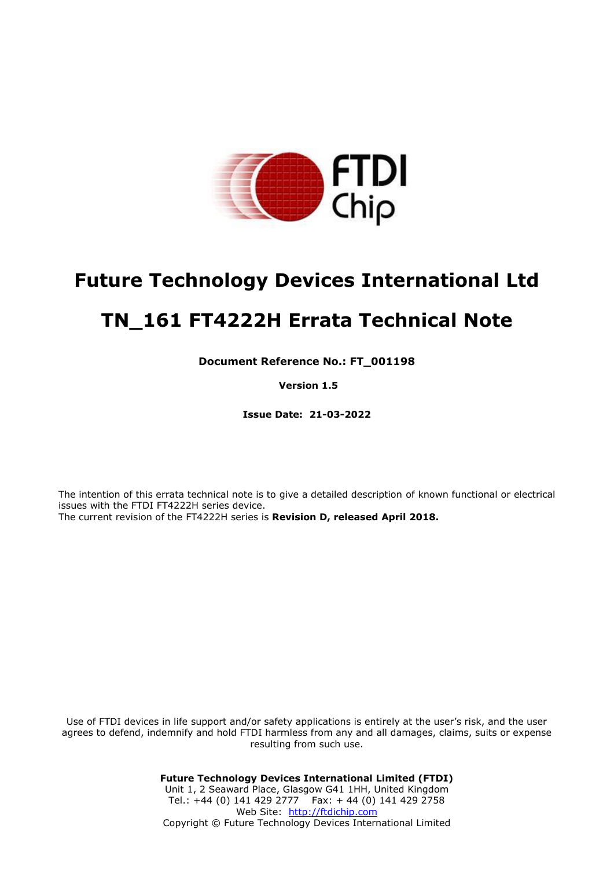

# **Future Technology Devices International Ltd TN\_161 FT4222H Errata Technical Note**

**Document Reference No.: FT\_001198**

**Version 1.5**

**Issue Date: 21-03-2022**

The intention of this errata technical note is to give a detailed description of known functional or electrical issues with the FTDI FT4222H series device.

The current revision of the FT4222H series is **Revision D, released April 2018.**

Use of FTDI devices in life support and/or safety applications is entirely at the user's risk, and the user agrees to defend, indemnify and hold FTDI harmless from any and all damages, claims, suits or expense resulting from such use.

> **Future Technology Devices International Limited (FTDI)** Unit 1, 2 Seaward Place, Glasgow G41 1HH, United Kingdom Tel.: +44 (0) 141 429 2777 Fax: + 44 (0) 141 429 2758 Web Site: [http://ftdichip.com](http://ftdichip.com/) Copyright © Future Technology Devices International Limited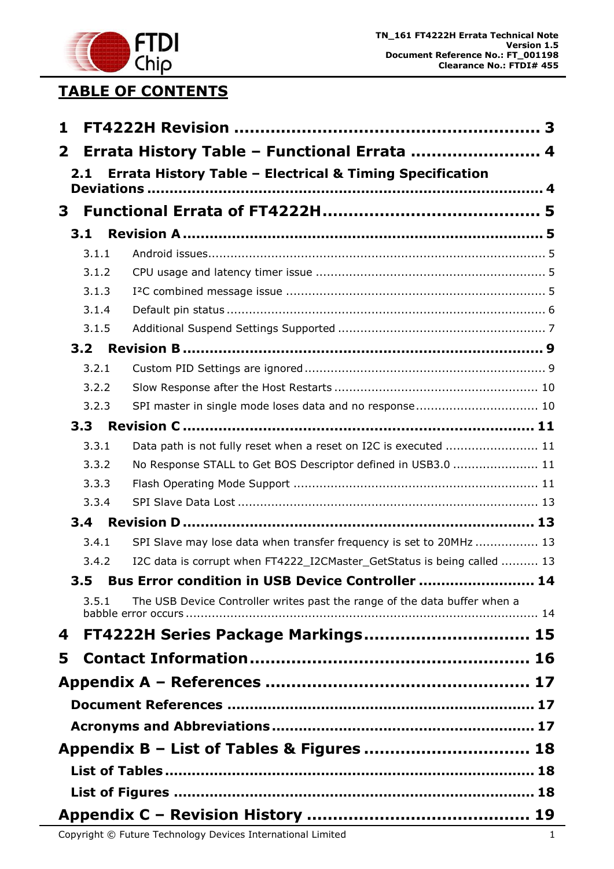

## **TABLE OF CONTENTS**

| 1            |                  |                                                                           |  |
|--------------|------------------|---------------------------------------------------------------------------|--|
| $\mathbf{2}$ |                  | Errata History Table - Functional Errata  4                               |  |
|              | 2.1              | <b>Errata History Table - Electrical &amp; Timing Specification</b>       |  |
|              |                  |                                                                           |  |
| 3            |                  |                                                                           |  |
|              | 3.1              |                                                                           |  |
|              | 3.1.1            |                                                                           |  |
|              | 3.1.2            |                                                                           |  |
|              | 3.1.3            |                                                                           |  |
|              | 3.1.4            |                                                                           |  |
|              | 3.1.5            |                                                                           |  |
|              | 3.2 <sub>2</sub> |                                                                           |  |
|              | 3.2.1            |                                                                           |  |
|              | 3.2.2            |                                                                           |  |
|              | 3.2.3            | SPI master in single mode loses data and no response 10                   |  |
|              | 3.3 <sub>2</sub> |                                                                           |  |
|              | 3.3.1            | Data path is not fully reset when a reset on I2C is executed  11          |  |
|              | 3.3.2            | No Response STALL to Get BOS Descriptor defined in USB3.0  11             |  |
|              | 3.3.3            |                                                                           |  |
|              | 3.3.4            |                                                                           |  |
|              | 3.4              |                                                                           |  |
|              | 3.4.1            | SPI Slave may lose data when transfer frequency is set to 20MHz  13       |  |
|              | 3.4.2            | I2C data is corrupt when FT4222_I2CMaster_GetStatus is being called  13   |  |
|              |                  | 3.5 Bus Error condition in USB Device Controller  14                      |  |
|              | 3.5.1            | The USB Device Controller writes past the range of the data buffer when a |  |
| 4            |                  | FT4222H Series Package Markings 15                                        |  |
| 5.           |                  |                                                                           |  |
|              |                  |                                                                           |  |
|              |                  |                                                                           |  |
|              |                  |                                                                           |  |
|              |                  | Appendix B - List of Tables & Figures  18                                 |  |
|              |                  |                                                                           |  |
|              |                  |                                                                           |  |
|              |                  |                                                                           |  |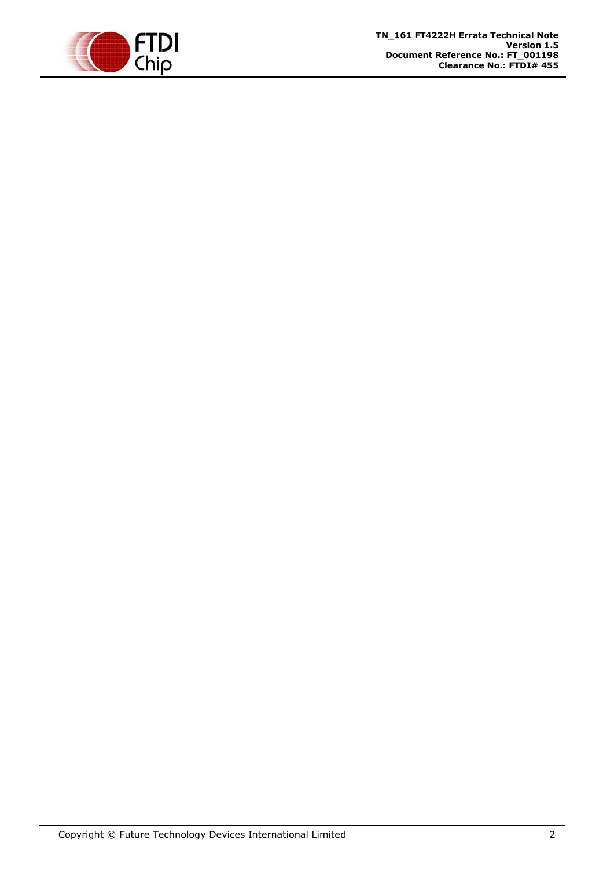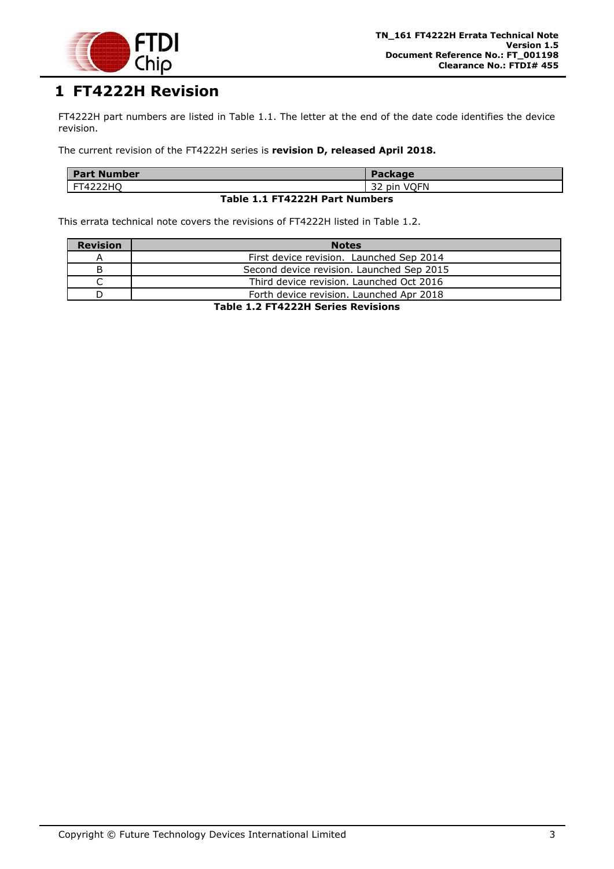

## <span id="page-3-0"></span>**1 FT4222H Revision**

FT4222H part numbers are listed in [Table 1.1.](#page-3-1) The letter at the end of the date code identifies the device revision.

The current revision of the FT4222H series is **revision D, released April 2018.**

| <b>Part Number</b>                |  | Package     |  |  |
|-----------------------------------|--|-------------|--|--|
| FT4222HO                          |  | 32 pin VOFN |  |  |
| Table 4 4 FT4999U Back Normalized |  |             |  |  |

|  | Table 1.1 FT4222H Part Numbers |  |
|--|--------------------------------|--|
|  |                                |  |

<span id="page-3-1"></span>This errata technical note covers the revisions of FT4222H listed in [Table 1.2.](#page-3-2)

<span id="page-3-2"></span>

| <b>Revision</b> | <b>Notes</b>                              |
|-----------------|-------------------------------------------|
|                 | First device revision. Launched Sep 2014  |
| B               | Second device revision. Launched Sep 2015 |
|                 | Third device revision. Launched Oct 2016  |
|                 | Forth device revision. Launched Apr 2018  |

**Table 1.2 FT4222H Series Revisions**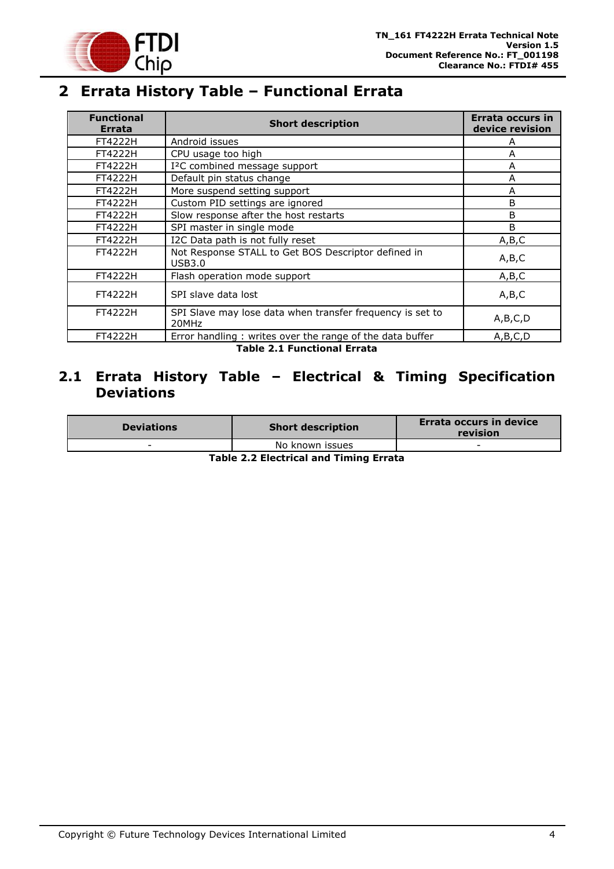

## <span id="page-4-0"></span>**2 Errata History Table – Functional Errata**

| <b>Functional</b><br>Errata | <b>Short description</b>                                           | Errata occurs in<br>device revision |
|-----------------------------|--------------------------------------------------------------------|-------------------------------------|
| FT4222H                     | Android issues                                                     |                                     |
| FT4222H                     | CPU usage too high                                                 | Α                                   |
| FT4222H                     | I <sup>2</sup> C combined message support                          | Α                                   |
| FT4222H                     | Default pin status change                                          | Α                                   |
| FT4222H                     | More suspend setting support                                       | A                                   |
| FT4222H                     | Custom PID settings are ignored                                    | B                                   |
| FT4222H                     | Slow response after the host restarts                              | B                                   |
| FT4222H                     | SPI master in single mode                                          | B                                   |
| FT4222H                     | I2C Data path is not fully reset                                   | A, B, C                             |
| FT4222H                     | Not Response STALL to Get BOS Descriptor defined in<br>USB3.0      | A, B, C                             |
| FT4222H                     | Flash operation mode support                                       | A, B, C                             |
| FT4222H                     | SPI slave data lost                                                | A, B, C                             |
| FT4222H                     | SPI Slave may lose data when transfer frequency is set to<br>20MHz | A,B,C,D                             |
| FT4222H                     | Error handling: writes over the range of the data buffer           | A,B,C,D                             |

**Table 2.1 Functional Errata**

## <span id="page-4-2"></span><span id="page-4-1"></span>**2.1 Errata History Table – Electrical & Timing Specification Deviations**

<span id="page-4-3"></span>

| <b>Deviations</b>        | <b>Short description</b> | <b>Errata occurs in device</b><br>revision |
|--------------------------|--------------------------|--------------------------------------------|
| $\overline{\phantom{0}}$ | No known issues          | -                                          |

**Table 2.2 Electrical and Timing Errata**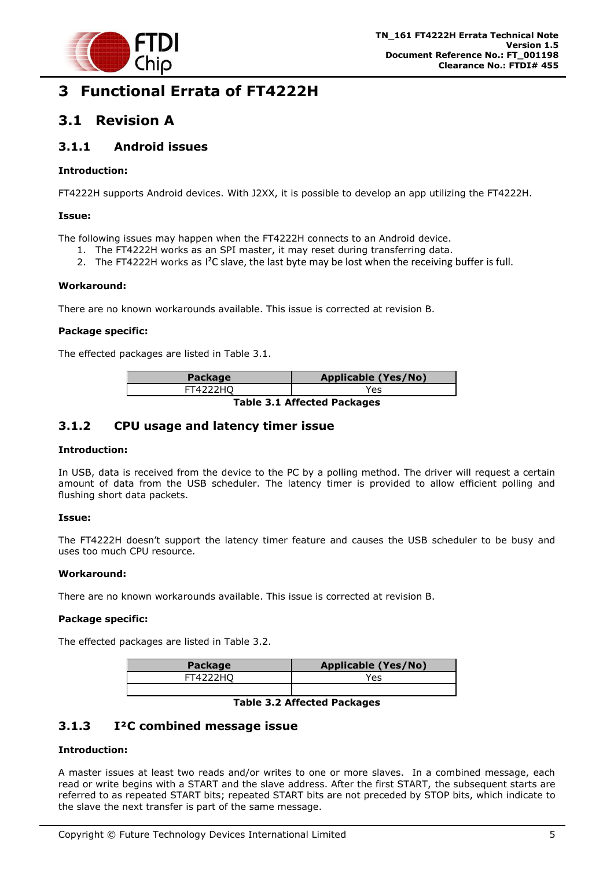

## <span id="page-5-0"></span>**3 Functional Errata of FT4222H**

## <span id="page-5-1"></span>**3.1 Revision A**

## <span id="page-5-2"></span>**3.1.1 Android issues**

## **Introduction:**

FT4222H supports Android devices. With J2XX, it is possible to develop an app utilizing the FT4222H.

### **Issue:**

The following issues may happen when the FT4222H connects to an Android device.

- 1. The FT4222H works as an SPI master, it may reset during transferring data.
- 2. The FT4222H works as I<sup>2</sup>C slave, the last byte may be lost when the receiving buffer is full.

### **Workaround:**

There are no known workarounds available. This issue is corrected at revision B.

#### **Package specific:**

The effected packages are listed in [Table 3.1.](#page-5-5)

| <b>Package</b>              | Applicable (Yes/No) |  |  |  |  |
|-----------------------------|---------------------|--|--|--|--|
| FT4222HO                    | Yes                 |  |  |  |  |
| Table 3 1 Affected Deckerse |                     |  |  |  |  |

**Table 3.1 Affected Packages**

## <span id="page-5-5"></span><span id="page-5-3"></span>**3.1.2 CPU usage and latency timer issue**

#### **Introduction:**

In USB, data is received from the device to the PC by a polling method. The driver will request a certain amount of data from the USB scheduler. The latency timer is provided to allow efficient polling and flushing short data packets.

#### **Issue:**

The FT4222H doesn't support the latency timer feature and causes the USB scheduler to be busy and uses too much CPU resource.

#### **Workaround:**

There are no known workarounds available. This issue is corrected at revision B.

#### **Package specific:**

The effected packages are listed in [Table 3.2.](#page-5-6)

| <b>Package</b> | <b>Applicable (Yes/No)</b> |
|----------------|----------------------------|
| FT4222HO       | Yes                        |
|                |                            |

#### **Table 3.2 Affected Packages**

## <span id="page-5-6"></span><span id="page-5-4"></span>**3.1.3 I²C combined message issue**

## **Introduction:**

A master issues at least two reads and/or writes to one or more slaves. In a combined message, each read or write begins with a START and the slave address. After the first START, the subsequent starts are referred to as repeated START bits; repeated START bits are not preceded by STOP bits, which indicate to the slave the next transfer is part of the same message.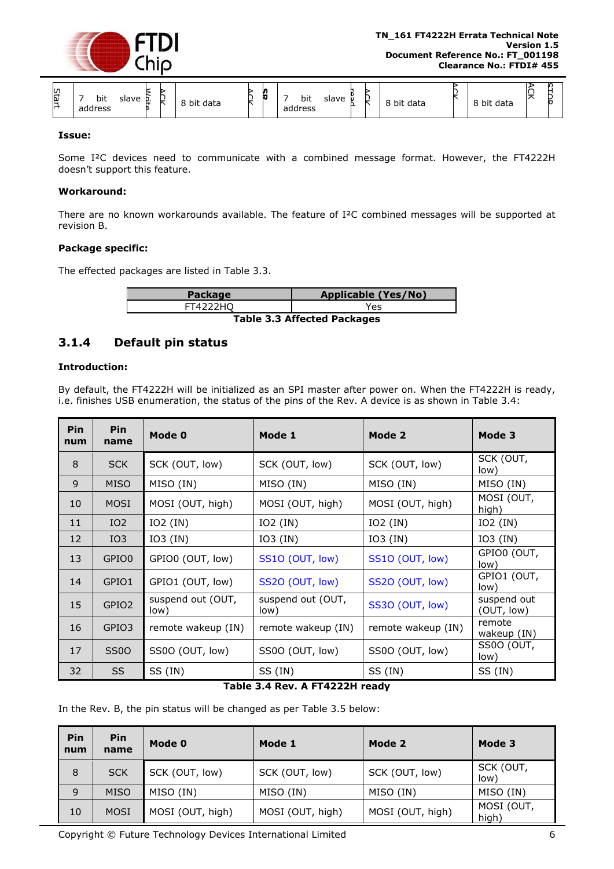

| Sta<br>. .<br>冀 | slave<br>bit<br>address | E. |  | 8 bit data |  |  | bit<br>slave<br>address |  | D<br>l | ९ bit data |  | 8 bit data |  | ID<br>ю |
|-----------------|-------------------------|----|--|------------|--|--|-------------------------|--|--------|------------|--|------------|--|---------|
|-----------------|-------------------------|----|--|------------|--|--|-------------------------|--|--------|------------|--|------------|--|---------|

#### **Issue:**

Some I²C devices need to communicate with a combined message format. However, the FT4222H doesn't support this feature.

### **Workaround:**

There are no known workarounds available. The feature of I²C combined messages will be supported at revision B.

### **Package specific:**

The effected packages are listed in [Table 3.3.](#page-6-1)

| <b>Package</b> | <b>Applicable (Yes/No)</b> |  |
|----------------|----------------------------|--|
| FT4222HO       | Yes                        |  |

**Table 3.3 Affected Packages** 

## <span id="page-6-1"></span><span id="page-6-0"></span>**3.1.4 Default pin status**

### **Introduction:**

By default, the FT4222H will be initialized as an SPI master after power on. When the FT4222H is ready, i.e. finishes USB enumeration, the status of the pins of the Rev. A device is as shown in [Table 3.4:](#page-6-2)

| <b>Pin</b><br>num | <b>Pin</b><br>name | Mode 0                    | Mode 1                    | Mode 2             | Mode 3                    |
|-------------------|--------------------|---------------------------|---------------------------|--------------------|---------------------------|
| 8                 | <b>SCK</b>         | SCK (OUT, low)            | SCK (OUT, low)            | SCK (OUT, low)     | SCK (OUT,<br>low)         |
| 9                 | <b>MISO</b>        | MISO (IN)                 | MISO (IN)                 | MISO (IN)          | MISO (IN)                 |
| 10                | MOSI               | MOSI (OUT, high)          | MOSI (OUT, high)          | MOSI (OUT, high)   | MOSI (OUT,<br>high)       |
| 11                | IO <sub>2</sub>    | $IO2$ (IN)                | $IO2$ (IN)                | $IO2$ (IN)         | $IO2$ (IN)                |
| 12                | IO <sub>3</sub>    | $IO3$ (IN)                | $IO3$ (IN)                | $IO3$ (IN)         | $IO3$ (IN)                |
| 13                | GPIO0              | GPIO0 (OUT, low)          | SS10 (OUT, low)           | SS10 (OUT, low)    | GPIO0 (OUT,<br>low)       |
| 14                | GPIO1              | GPIO1 (OUT, low)          | SS20 (OUT, low)           | SS20 (OUT, low)    | GPIO1 (OUT,<br>low)       |
| 15                | GPIO <sub>2</sub>  | suspend out (OUT,<br>low) | suspend out (OUT,<br>low) | SS30 (OUT, low)    | suspend out<br>(OUT, low) |
| 16                | GPIO3              | remote wakeup (IN)        | remote wakeup (IN)        | remote wakeup (IN) | remote<br>wakeup (IN)     |
| 17                | SS <sub>0</sub>    | SS00 (OUT, low)           | SS00 (OUT, low)           | SS00 (OUT, low)    | SS00 (OUT,<br>low)        |
| 32                | SS.                | SS (IN)                   | SS (IN)                   | SS (IN)            | SS (IN)                   |

#### **Table 3.4 Rev. A FT4222H ready**

<span id="page-6-2"></span>In the Rev. B, the pin status will be changed as per [Table 3.5](#page-7-1) below:

| Pin<br>num | <b>Pin</b><br>name | Mode 0           | Mode 1           | Mode 2           | Mode 3              |
|------------|--------------------|------------------|------------------|------------------|---------------------|
| 8          | <b>SCK</b>         | SCK (OUT, low)   | SCK (OUT, low)   | SCK (OUT, low)   | SCK (OUT,<br>low)   |
| 9          | <b>MISO</b>        | MISO (IN)        | MISO (IN)        | MISO (IN)        | MISO (IN)           |
| 10         | <b>MOSI</b>        | MOSI (OUT, high) | MOSI (OUT, high) | MOSI (OUT, high) | MOSI (OUT,<br>high) |

Copyright © Future Technology Devices International Limited 6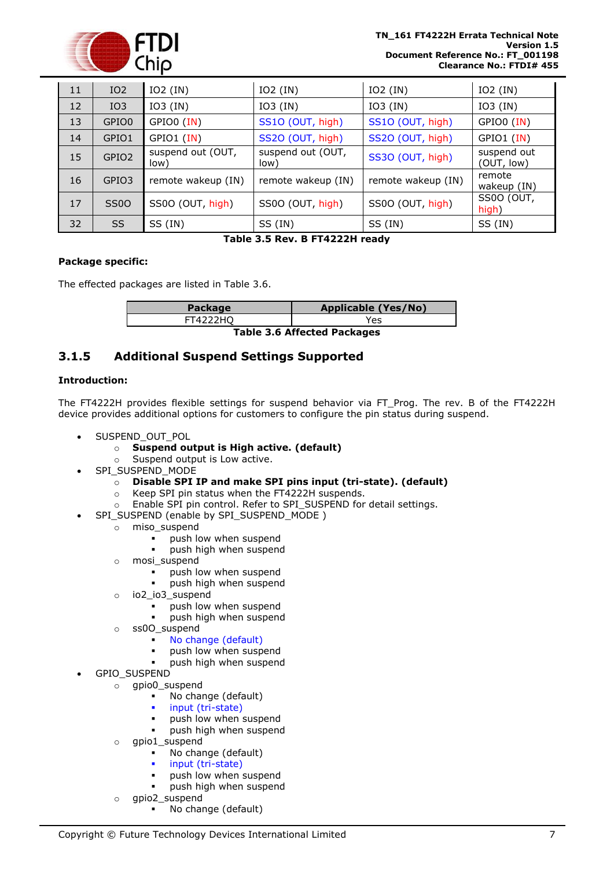

| 11 | IO <sub>2</sub>   | $IO2$ (IN)                | $IO2$ (IN)                | $IO2$ (IN)         | $IO2$ (IN)                 |
|----|-------------------|---------------------------|---------------------------|--------------------|----------------------------|
| 12 | IO <sub>3</sub>   | $IO3$ (IN)                | $IO3$ (IN)                | $IO3$ (IN)         | $IO3$ (IN)                 |
| 13 | GPIO0             | GPIO0 (IN)                | SS10 (OUT, high)          | SS10 (OUT, high)   | GPIO0 (IN)                 |
| 14 | GPIO1             | GPIO1 (IN)                | SS20 (OUT, high)          | SS20 (OUT, high)   | GPIO1 (IN)                 |
| 15 | GPIO <sub>2</sub> | suspend out (OUT,<br>low) | suspend out (OUT,<br>low) | SS30 (OUT, high)   | suspend out<br>(OUT, low)  |
| 16 | GPIO3             | remote wakeup (IN)        | remote wakeup (IN)        | remote wakeup (IN) | remote<br>wakeup (IN)      |
| 17 | SS <sub>0</sub>   | SS00 (OUT, high)          | SS00 (OUT, high)          | SS00 (OUT, high)   | <b>SS00 (OUT,</b><br>high) |
| 32 | <b>SS</b>         | SS (IN)                   | SS (IN)                   | SS (IN)            | SS (IN)                    |

**Table 3.5 Rev. B FT4222H ready**

## <span id="page-7-1"></span>**Package specific:**

The effected packages are listed in [Table 3.6.](#page-7-2)

| Package  | Applicable (Yes/No) |
|----------|---------------------|
| FT4222HO | Yes                 |
| -----    |                     |

**Table 3.6 Affected Packages**

## <span id="page-7-2"></span><span id="page-7-0"></span>**3.1.5 Additional Suspend Settings Supported**

### **Introduction:**

The FT4222H provides flexible settings for suspend behavior via FT\_Prog. The rev. B of the FT4222H device provides additional options for customers to configure the pin status during suspend.

- SUSPEND\_OUT\_POL
	- o **Suspend output is High active. (default)**
	- o Suspend output is Low active.
- SPI\_SUSPEND\_MODE
	- o **Disable SPI IP and make SPI pins input (tri-state). (default)**
	- o Keep SPI pin status when the FT4222H suspends.
	- o Enable SPI pin control. Refer to SPI\_SUSPEND for detail settings.
- SPI\_SUSPEND (enable by SPI\_SUSPEND\_MODE )
	- o miso\_suspend
		- **•** push low when suspend
		- **•** push high when suspend
	- o mosi\_suspend
		- **push low when suspend**
		- push high when suspend
	- o io2 io3 suspend
		- push low when suspend
		- push high when suspend
	- o ss0O\_suspend
		- No change (default)
		- push low when suspend
		- **•** push high when suspend
- GPIO\_SUSPEND
	- o gpio0\_suspend
		- No change (default)
			- input (tri-state)
			- **Push low when suspend**
			- push high when suspend
	- o gpio1\_suspend
		- No change (default)
			- input (tri-state)
			- **push low when suspend**
			- push high when suspend
	- o gpio2\_suspend
		- No change (default)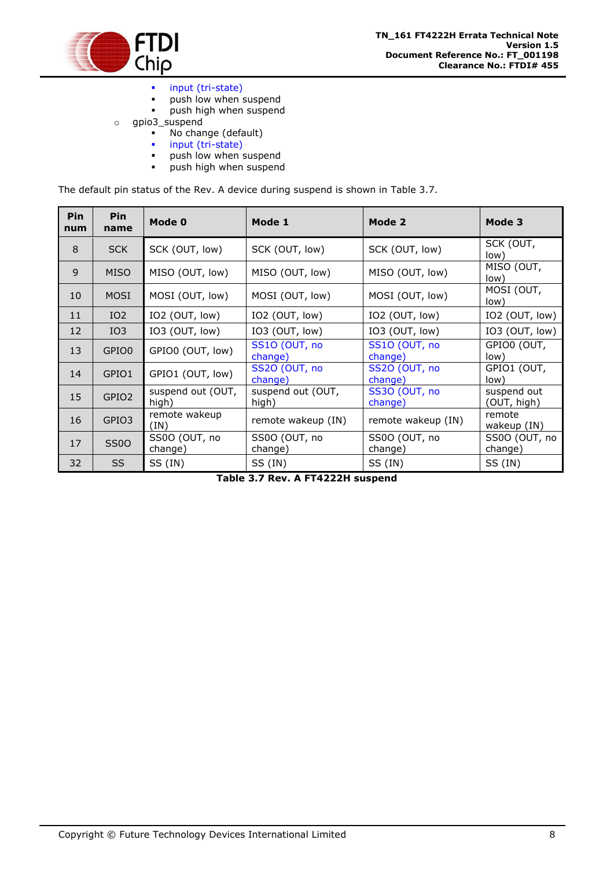

- input (tri-state)
- **push low when suspend**
- push high when suspend
- o gpio3\_suspend
	- $\overline{\phantom{a}}$  No change (default)
		- input (tri-state)
		- **push low when suspend**<br>**push high when suspend**
		- push high when suspend

The default pin status of the Rev. A device during suspend is shown in [Table 3.7.](#page-8-0)

| <b>Pin</b><br>num | <b>Pin</b><br>name | Mode 0                     | Mode 1                     | Mode 2                   | Mode 3                     |
|-------------------|--------------------|----------------------------|----------------------------|--------------------------|----------------------------|
| 8                 | <b>SCK</b>         | SCK (OUT, low)             | SCK (OUT, low)             | SCK (OUT, low)           | SCK (OUT,<br>low)          |
| 9                 | <b>MISO</b>        | MISO (OUT, low)            | MISO (OUT, low)            | MISO (OUT, low)          | MISO (OUT,<br>low)         |
| 10                | <b>MOSI</b>        | MOSI (OUT, low)            | MOSI (OUT, low)            | MOSI (OUT, low)          | MOSI (OUT,<br>low)         |
| 11                | IO <sub>2</sub>    | IO2 (OUT, low)             | IO2 (OUT, low)             | IO2 (OUT, low)           | IO2 (OUT, low)             |
| 12                | IO3                | IO3 (OUT, low)             | IO3 (OUT, low)             | IO3 (OUT, low)           | IO3 (OUT, low)             |
| 13                | GPIO0              | GPIO0 (OUT, low)           | SS10 (OUT, no<br>change)   | SS10 (OUT, no<br>change) | GPIO0 (OUT,<br>low)        |
| 14                | GPIO1              | GPIO1 (OUT, low)           | SS20 (OUT, no<br>change)   | SS20 (OUT, no<br>change) | GPIO1 (OUT,<br>low)        |
| 15                | GPIO <sub>2</sub>  | suspend out (OUT,<br>high) | suspend out (OUT,<br>high) | SS30 (OUT, no<br>change) | suspend out<br>(OUT, high) |
| 16                | GPIO3              | remote wakeup<br>(IN)      | remote wakeup (IN)         | remote wakeup (IN)       | remote<br>wakeup (IN)      |
| 17                | <b>SS00</b>        | SS00 (OUT, no<br>change)   | SS00 (OUT, no<br>change)   | SS00 (OUT, no<br>change) | SS00 (OUT, no<br>change)   |
| 32                | <b>SS</b>          | SS (IN)                    | SS (IN)                    | $SS$ (IN)                | SS (IN)                    |

<span id="page-8-0"></span>**Table 3.7 Rev. A FT4222H suspend**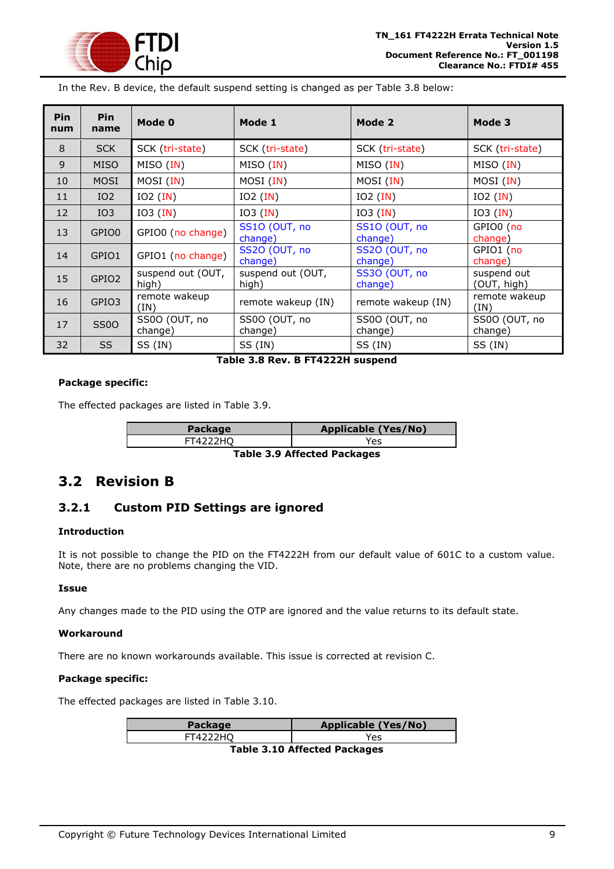

In the Rev. B device, the default suspend setting is changed as per [Table 3.8](#page-9-2) below:

| <b>Pin</b><br>num | <b>Pin</b><br>name | Mode 0                     | Mode 1                     | Mode 2                   | Mode 3                     |
|-------------------|--------------------|----------------------------|----------------------------|--------------------------|----------------------------|
| 8                 | <b>SCK</b>         | SCK (tri-state)            | SCK (tri-state)            | SCK (tri-state)          | SCK (tri-state)            |
| 9                 | <b>MISO</b>        | MISO (IN)                  | MISO (IN)                  | MISO (IN)                | MISO (IN)                  |
| 10                | <b>MOSI</b>        | MOSI (IN)                  | MOSI (IN)                  | MOSI (IN)                | MOSI (IN)                  |
| 11                | IO <sub>2</sub>    | IO2 (IN)                   | IO2 (IN)                   | IO2 (IN)                 | $IO2$ (IN)                 |
| 12                | IO3                | $IO3$ (IN)                 | $IO3$ (IN)                 | $IO3$ (IN)               | $IO3$ (IN)                 |
| 13                | GPIO0              | GPIO0 (no change)          | SS10 (OUT, no<br>change)   | SS10 (OUT, no<br>change) | GPIO0 (no<br>change)       |
| 14                | GPIO1              | GPIO1 (no change)          | SS20 (OUT, no<br>change)   | SS20 (OUT, no<br>change) | GPIO1 (no<br>change)       |
| 15                | GPIO <sub>2</sub>  | suspend out (OUT,<br>high) | suspend out (OUT,<br>high) | SS30 (OUT, no<br>change) | suspend out<br>(OUT, high) |
| 16                | GPIO3              | remote wakeup<br>(IN)      | remote wakeup (IN)         | remote wakeup (IN)       | remote wakeup<br>(IN)      |
| 17                | <b>SS00</b>        | SS00 (OUT, no<br>change)   | SS00 (OUT, no<br>change)   | SS00 (OUT, no<br>change) | SS00 (OUT, no<br>change)   |
| 32                | SS                 | SS (IN)                    | SS (IN)                    | SS (IN)                  | $SS$ (IN)                  |

## **Table 3.8 Rev. B FT4222H suspend**

### <span id="page-9-2"></span>**Package specific:**

The effected packages are listed in [Table 3.9.](#page-9-3)

| <b>Package</b> | Applicable (Yes/No) |
|----------------|---------------------|
| FT4222HO       | Yes                 |
| _ _ _ _ _ _    |                     |

**Table 3.9 Affected Packages**

## <span id="page-9-3"></span><span id="page-9-0"></span>**3.2 Revision B**

## <span id="page-9-1"></span>**3.2.1 Custom PID Settings are ignored**

#### **Introduction**

It is not possible to change the PID on the FT4222H from our default value of 601C to a custom value. Note, there are no problems changing the VID.

## **Issue**

Any changes made to the PID using the OTP are ignored and the value returns to its default state.

## **Workaround**

There are no known workarounds available. This issue is corrected at revision C.

#### **Package specific:**

<span id="page-9-4"></span>The effected packages are listed in [Table 3.10.](#page-9-4)

| <b>Package</b>      | <b>Applicable (Yes/No)</b> |
|---------------------|----------------------------|
| <b>FT4222HO</b>     | Yes                        |
| _ _ . _ . _ . _ . _ |                            |

**Table 3.10 Affected Packages**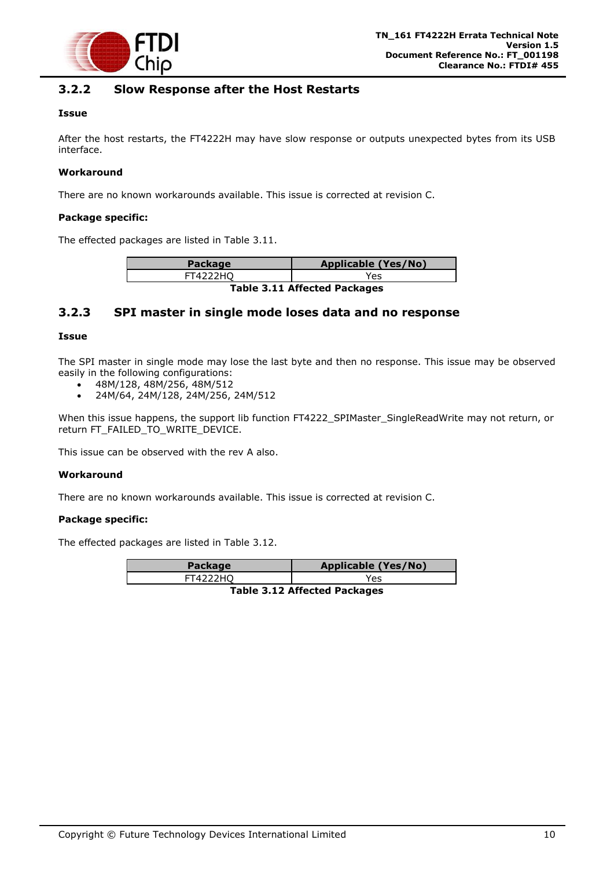

## <span id="page-10-0"></span>**3.2.2 Slow Response after the Host Restarts**

### **Issue**

After the host restarts, the FT4222H may have slow response or outputs unexpected bytes from its USB interface.

## **Workaround**

There are no known workarounds available. This issue is corrected at revision C.

### **Package specific:**

The effected packages are listed in [Table 3.11.](#page-10-2)

| Package                             | Applicable (Yes/No) |  |
|-------------------------------------|---------------------|--|
| FT4222HO                            | Yes                 |  |
| <b>Table 3.11 Affected Packages</b> |                     |  |

<span id="page-10-2"></span><span id="page-10-1"></span>**3.2.3 SPI master in single mode loses data and no response**

### **Issue**

The SPI master in single mode may lose the last byte and then no response. This issue may be observed easily in the following configurations:

- 48M/128, 48M/256, 48M/512
- 24M/64, 24M/128, 24M/256, 24M/512

When this issue happens, the support lib function FT4222\_SPIMaster\_SingleReadWrite may not return, or return FT\_FAILED\_TO\_WRITE\_DEVICE.

This issue can be observed with the rev A also.

## **Workaround**

There are no known workarounds available. This issue is corrected at revision C.

## **Package specific:**

<span id="page-10-3"></span>The effected packages are listed in [Table 3.12.](#page-10-3)

| <b>Package</b> | <b>Applicable (Yes/No)</b> |
|----------------|----------------------------|
| FT4222HO       | Yes                        |
|                | _______                    |

**Table 3.12 Affected Packages**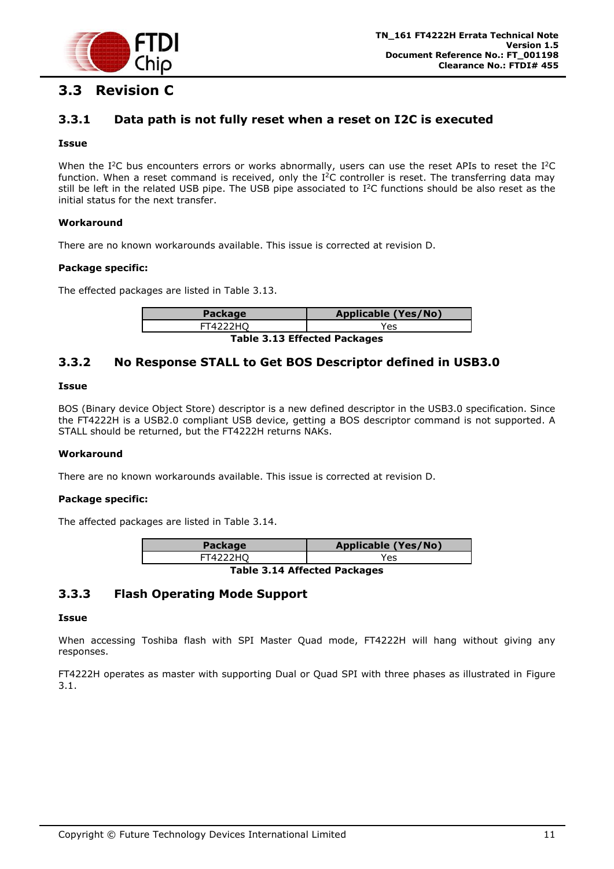

## <span id="page-11-0"></span>**3.3 Revision C**

## <span id="page-11-1"></span>**3.3.1 Data path is not fully reset when a reset on I2C is executed**

## **Issue**

When the I<sup>2</sup>C bus encounters errors or works abnormally, users can use the reset APIs to reset the I<sup>2</sup>C function. When a reset command is received, only the  $I<sup>2</sup>C$  controller is reset. The transferring data may still be left in the related USB pipe. The USB pipe associated to  $I<sup>2</sup>C$  functions should be also reset as the initial status for the next transfer.

## **Workaround**

There are no known workarounds available. This issue is corrected at revision D.

## **Package specific:**

The effected packages are listed in [Table 3.13.](#page-11-4)

| <b>Package</b>            | Applicable (Yes/No) |  |
|---------------------------|---------------------|--|
| FT4222HO                  | Yes                 |  |
| _ _ _ _ _ _ _ _ _ _ _ _ _ |                     |  |

**Table 3.13 Effected Packages**

## <span id="page-11-4"></span><span id="page-11-2"></span>**3.3.2 No Response STALL to Get BOS Descriptor defined in USB3.0**

### **Issue**

BOS (Binary device Object Store) descriptor is a new defined descriptor in the USB3.0 specification. Since the FT4222H is a USB2.0 compliant USB device, getting a BOS descriptor command is not supported. A STALL should be returned, but the FT4222H returns NAKs.

## **Workaround**

There are no known workarounds available. This issue is corrected at revision D.

## **Package specific:**

The affected packages are listed in [Table 3.14.](#page-11-5)

| Applicable (Yes/No) |
|---------------------|
| Yes                 |
|                     |

**Table 3.14 Affected Packages**

## <span id="page-11-5"></span><span id="page-11-3"></span>**3.3.3 Flash Operating Mode Support**

#### **Issue**

When accessing Toshiba flash with SPI Master Quad mode, FT4222H will hang without giving any responses.

FT4222H operates as master with supporting Dual or Quad SPI with three phases as illustrated in [Figure](#page-12-0)  [3.1.](#page-12-0)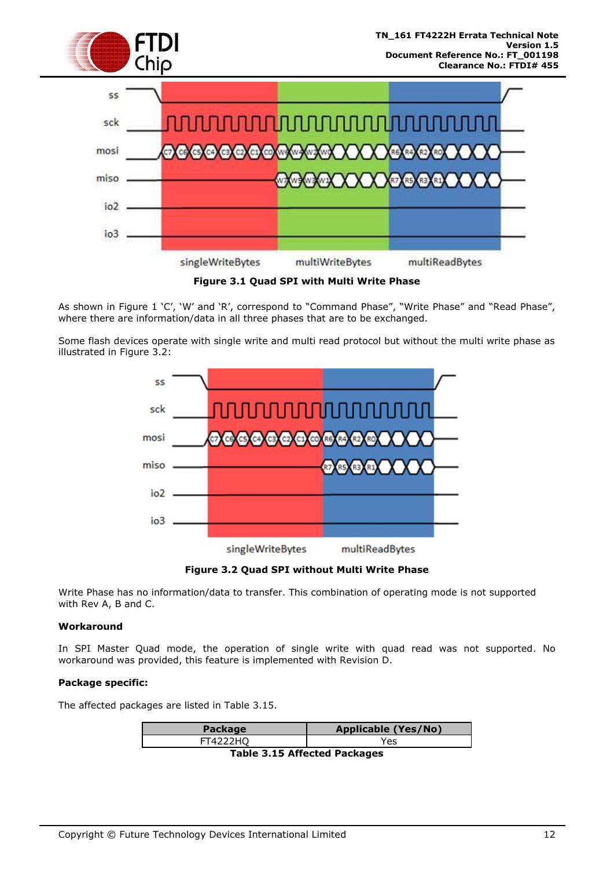



**Figure 3.1 Quad SPI with Multi Write Phase**

<span id="page-12-0"></span>As shown in Figure 1 'C', 'W' and 'R', correspond to "Command Phase", "Write Phase" and "Read Phase", where there are information/data in all three phases that are to be exchanged.

Some flash devices operate with single write and multi read protocol but without the multi write phase as illustrated in [Figure 3.2:](#page-12-1)



**Figure 3.2 Quad SPI without Multi Write Phase**

<span id="page-12-1"></span>Write Phase has no information/data to transfer. This combination of operating mode is not supported with Rev A, B and C.

## **Workaround**

In SPI Master Quad mode, the operation of single write with quad read was not supported. No workaround was provided, this feature is implemented with Revision D.

## **Package specific:**

<span id="page-12-2"></span>The affected packages are listed in [Table 3.15.](#page-12-2)

| <b>Package</b>               | Applicable (Yes/No) |  |
|------------------------------|---------------------|--|
| FT4222HO                     | Yes                 |  |
| Table 2 15 Affected Backsone |                     |  |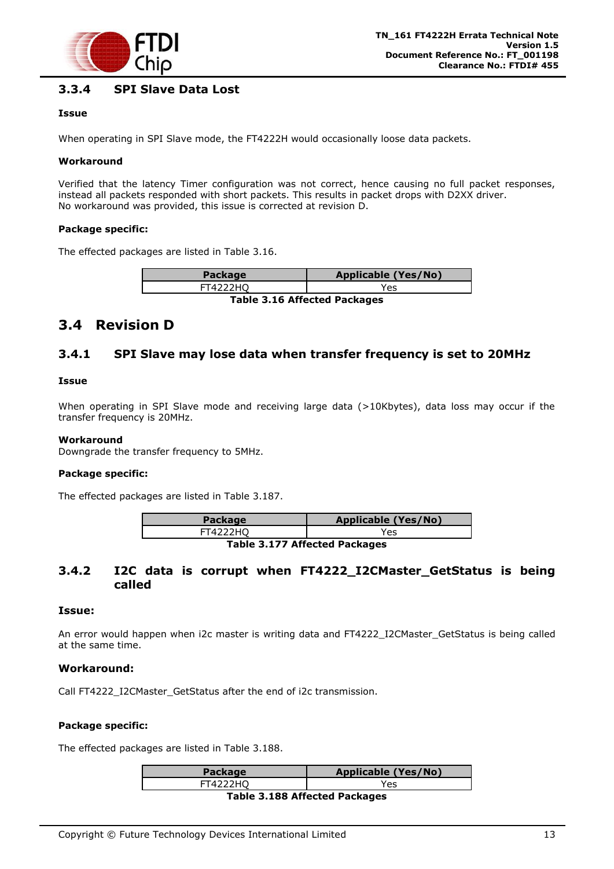

## <span id="page-13-0"></span>**3.3.4 SPI Slave Data Lost**

## **Issue**

When operating in SPI Slave mode, the FT4222H would occasionally loose data packets.

## **Workaround**

Verified that the latency Timer configuration was not correct, hence causing no full packet responses, instead all packets responded with short packets. This results in packet drops with D2XX driver. No workaround was provided, this issue is corrected at revision D.

### **Package specific:**

The effected packages are listed in [Table 3.16.](#page-13-4)

| <b>Package</b>  | <b>Applicable (Yes/No)</b> |
|-----------------|----------------------------|
| <b>FT4222HO</b> | res                        |
| _ _ . _ . _     |                            |

**Table 3.16 Affected Packages**

## <span id="page-13-4"></span><span id="page-13-1"></span>**3.4 Revision D**

## <span id="page-13-2"></span>**3.4.1 SPI Slave may lose data when transfer frequency is set to 20MHz**

### **Issue**

When operating in SPI Slave mode and receiving large data (>10Kbytes), data loss may occur if the transfer frequency is 20MHz.

#### **Workaround**

Downgrade the transfer frequency to 5MHz.

#### **Package specific:**

The effected packages are listed in [Table 3.187](#page-13-5).

| <b>Package</b>                 | Applicable (Yes/No) |  |
|--------------------------------|---------------------|--|
| FT4222HO                       | Yes                 |  |
| Table 3 4 77 Affected Backeroo |                     |  |

**Table 3.177 Affected Packages**

## <span id="page-13-6"></span><span id="page-13-3"></span>**3.4.2 I2C data is corrupt when FT4222\_I2CMaster\_GetStatus is being called**

## **Issue:**

An error would happen when i2c master is writing data and FT4222\_I2CMaster\_GetStatus is being called at the same time.

## **Workaround:**

Call FT4222\_I2CMaster\_GetStatus after the end of i2c transmission.

#### **Package specific:**

<span id="page-13-5"></span>The effected packages are listed in [Table 3.188](#page-13-5).

| <b>Package</b>                | Applicable (Yes/No) |  |
|-------------------------------|---------------------|--|
| FT4222HO                      | Yes                 |  |
| Table 3 188 Affected Dackanes |                     |  |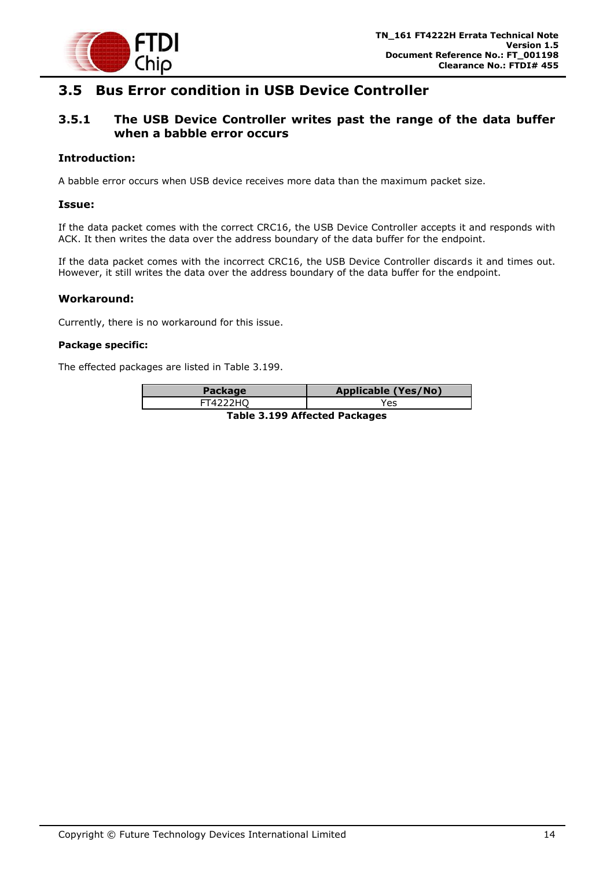

## <span id="page-14-0"></span>**3.5 Bus Error condition in USB Device Controller**

## <span id="page-14-1"></span>**3.5.1 The USB Device Controller writes past the range of the data buffer when a babble error occurs**

## **Introduction:**

A babble error occurs when USB device receives more data than the maximum packet size.

## **Issue:**

If the data packet comes with the correct CRC16, the USB Device Controller accepts it and responds with ACK. It then writes the data over the address boundary of the data buffer for the endpoint.

If the data packet comes with the incorrect CRC16, the USB Device Controller discards it and times out. However, it still writes the data over the address boundary of the data buffer for the endpoint.

## **Workaround:**

Currently, there is no workaround for this issue.

## **Package specific:**

<span id="page-14-2"></span>The effected packages are listed in [Table 3.199](#page-14-2).

| <b>Package</b>                | Applicable (Yes/No) |  |
|-------------------------------|---------------------|--|
| FT4222HO                      | Yes                 |  |
| Table 3 100 Affected Dackscac |                     |  |

**Table 3.199 Affected Packages**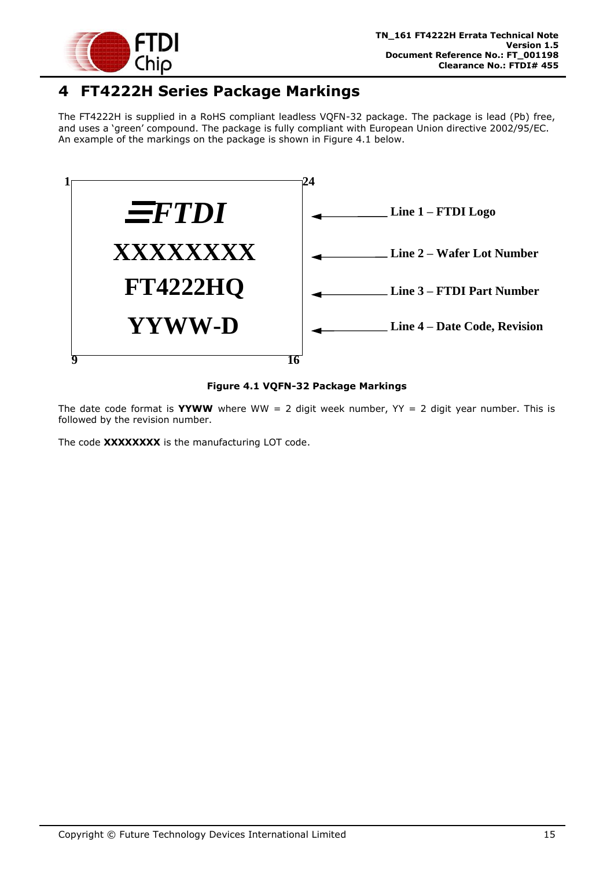

## <span id="page-15-0"></span>**4 FT4222H Series Package Markings**

The FT4222H is supplied in a RoHS compliant leadless VQFN-32 package. The package is lead (Pb) free, and uses a 'green' compound. The package is fully compliant with European Union directive 2002/95/EC. An example of the markings on the package is shown in [Figure 4.1](#page-15-1) below.



**Figure 4.1 VQFN-32 Package Markings**

<span id="page-15-1"></span>The date code format is **YYWW** where WW = 2 digit week number, YY = 2 digit year number. This is followed by the revision number.

The code **XXXXXXXX** is the manufacturing LOT code.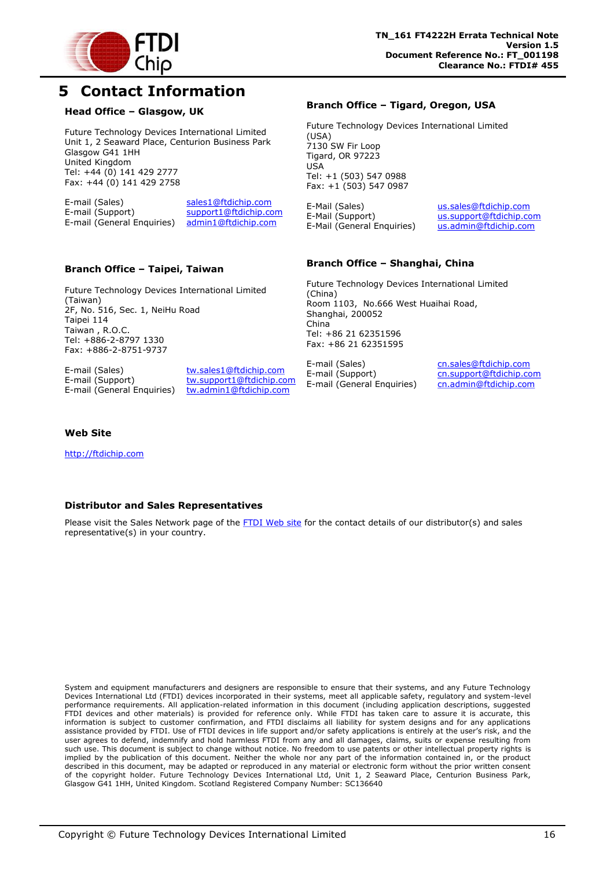

## <span id="page-16-0"></span>**5 Contact Information**

### **Head Office – Glasgow, UK**

Future Technology Devices International Limited Unit 1, 2 Seaward Place, Centurion Business Park Glasgow G41 1HH United Kingdom Tel: +44 (0) 141 429 2777 Fax: +44 (0) 141 429 2758

E-mail (Sales) sales1@ftdichip.com<br>E-mail (Support) support1@ftdichip.com support1@ftdichip.com E-mail (General Enquiries) admin1@ftdichip.com

### **Branch Office – Taipei, Taiwan**

Future Technology Devices International Limited (Taiwan) 2F, No. 516, Sec. 1, NeiHu Road Taipei 114 Taiwan , R.O.C. Tel: +886-2-8797 1330 Fax: +886-2-8751-9737

E-mail (Sales) tw.sales1@ftdichip.com<br>
E-mail (Support) tw.support1@ftdichip.com

tw.support1@ftdichip.com E-mail (General Enquiries) tw.admin1@ftdichip.com

#### **Branch Office – Tigard, Oregon, USA**

Future Technology Devices International Limited (USA) 7130 SW Fir Loop Tigard, OR 97223 USA Tel: +1 (503) 547 0988 Fax: +1 (503) 547 0987

E-Mail (Support) us.support@ftdichip.com E-Mail (General Enquiries) us.admin@ftdichip.com

E-Mail (Sales) us.sales@ftdichip.com

### **Branch Office – Shanghai, China**

Future Technology Devices International Limited (China) Room 1103, No.666 West Huaihai Road, Shanghai, 200052 China Tel: +86 21 62351596 Fax: +86 21 62351595

E-mail (Sales) cn.sales@ftdichip.com<br>
E-mail (Support) cn.support@ftdichip.com E-mail (General Enquiries) cn.admin@ftdichip.com

cn.support@ftdichip.com

#### **Web Site**

http://ftdichip.com

#### **Distributor and Sales Representatives**

Please visit the Sales Network page of the FTDI Web site for the contact details of our distributor(s) and sales representative(s) in your country.

System and equipment manufacturers and designers are responsible to ensure that their systems, and any Future Technology Devices International Ltd (FTDI) devices incorporated in their systems, meet all applicable safety, regulatory and system-level performance requirements. All application-related information in this document (including application descriptions, suggested FTDI devices and other materials) is provided for reference only. While FTDI has taken care to assure it is accurate, this information is subject to customer confirmation, and FTDI disclaims all liability for system designs and for any applications assistance provided by FTDI. Use of FTDI devices in life support and/or safety applications is entirely at the user's risk, and the user agrees to defend, indemnify and hold harmless FTDI from any and all damages, claims, suits or expense resulting from such use. This document is subject to change without notice. No freedom to use patents or other intellectual property rights is implied by the publication of this document. Neither the whole nor any part of the information contained in, or the product described in this document, may be adapted or reproduced in any material or electronic form without the prior written consent of the copyright holder. Future Technology Devices International Ltd, Unit 1, 2 Seaward Place, Centurion Business Park, Glasgow G41 1HH, United Kingdom. Scotland Registered Company Number: SC136640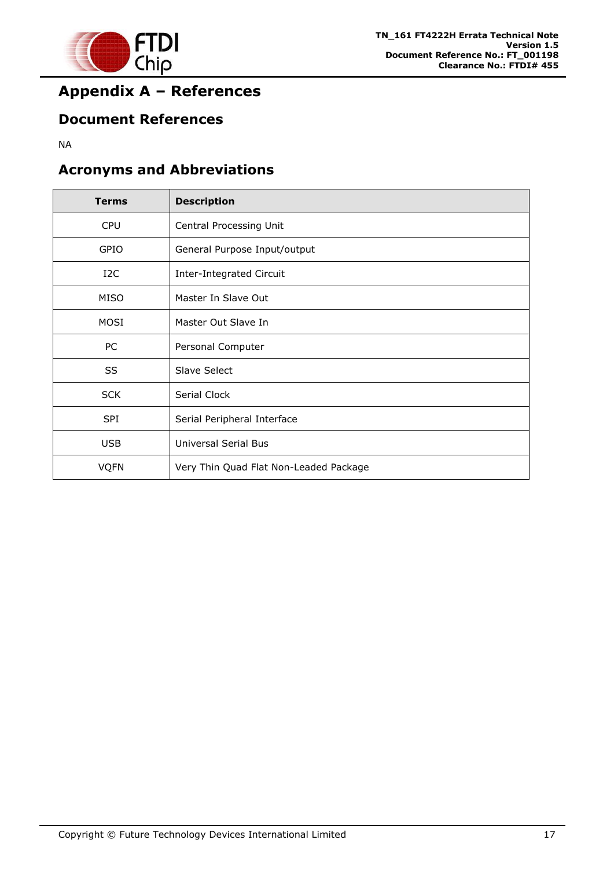

## <span id="page-17-0"></span>**Appendix A – References**

## <span id="page-17-1"></span>**Document References**

NA

## <span id="page-17-2"></span>**Acronyms and Abbreviations**

| <b>Terms</b> | <b>Description</b>                     |
|--------------|----------------------------------------|
| <b>CPU</b>   | Central Processing Unit                |
| GPIO         | General Purpose Input/output           |
| I2C          | Inter-Integrated Circuit               |
| <b>MISO</b>  | Master In Slave Out                    |
| MOSI         | Master Out Slave In                    |
| PC.          | Personal Computer                      |
| SS           | Slave Select                           |
| <b>SCK</b>   | Serial Clock                           |
| <b>SPI</b>   | Serial Peripheral Interface            |
| <b>USB</b>   | Universal Serial Bus                   |
| VQFN         | Very Thin Quad Flat Non-Leaded Package |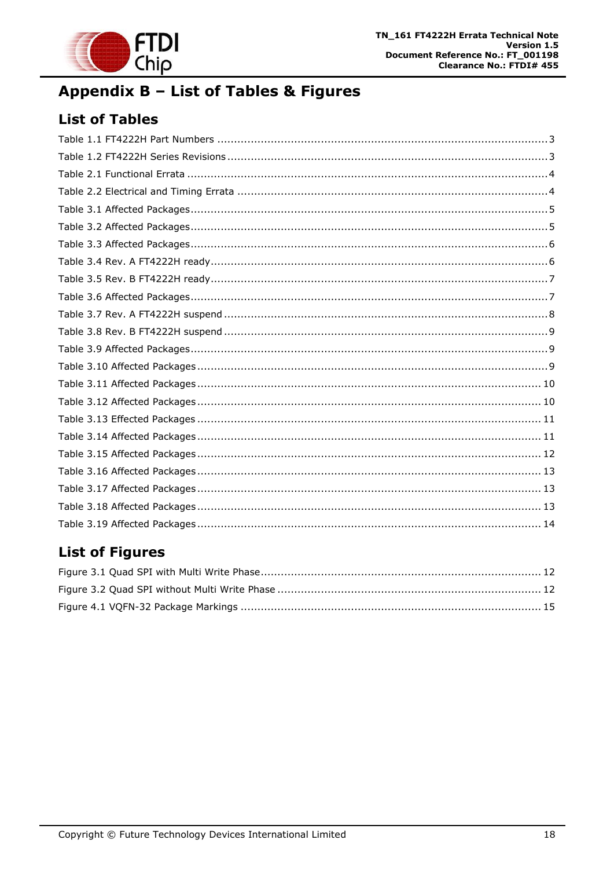

## <span id="page-18-0"></span>Appendix B - List of Tables & Figures

## <span id="page-18-1"></span>**List of Tables**

## <span id="page-18-2"></span>**List of Figures**